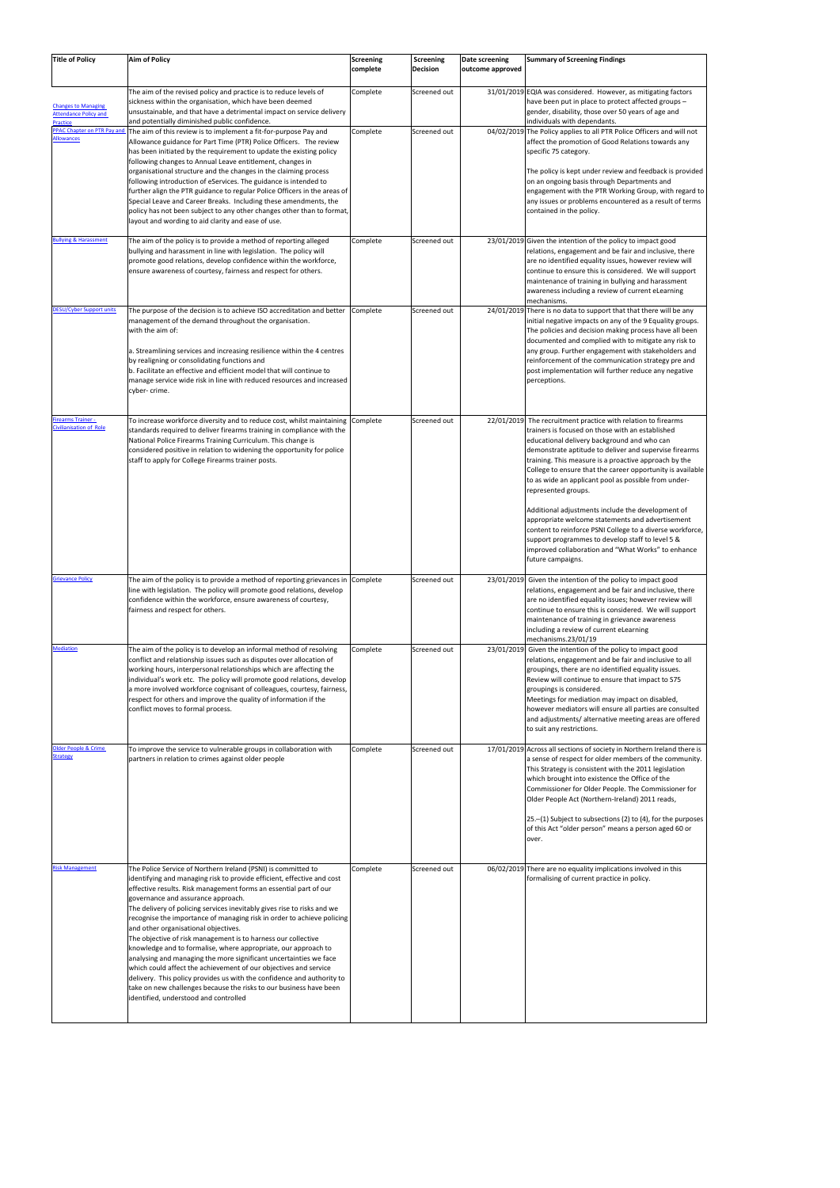| <b>Title of Policy</b>                                                 | <b>Aim of Policy</b>                                                                                                                                                                                                                                                                                                                                                                                                                                                                                                                                                                                                                                                                                                                                                                                                                                                                                                 | <b>Screening</b><br>complete | Screening<br>Decision | Date screening<br>outcome approved | <b>Summary of Screening Findings</b>                                                                                                                                                                                                                                                                                                                                                                                                                                                                                                                                                                                                                                                                                                  |
|------------------------------------------------------------------------|----------------------------------------------------------------------------------------------------------------------------------------------------------------------------------------------------------------------------------------------------------------------------------------------------------------------------------------------------------------------------------------------------------------------------------------------------------------------------------------------------------------------------------------------------------------------------------------------------------------------------------------------------------------------------------------------------------------------------------------------------------------------------------------------------------------------------------------------------------------------------------------------------------------------|------------------------------|-----------------------|------------------------------------|---------------------------------------------------------------------------------------------------------------------------------------------------------------------------------------------------------------------------------------------------------------------------------------------------------------------------------------------------------------------------------------------------------------------------------------------------------------------------------------------------------------------------------------------------------------------------------------------------------------------------------------------------------------------------------------------------------------------------------------|
| <b>Changes to Managing</b><br><b>Attendance Policy and</b><br>Practice | The aim of the revised policy and practice is to reduce levels of<br>sickness within the organisation, which have been deemed<br>unsustainable, and that have a detrimental impact on service delivery<br>and potentially diminished public confidence.                                                                                                                                                                                                                                                                                                                                                                                                                                                                                                                                                                                                                                                              | Complete                     | Screened out          |                                    | 31/01/2019 EQIA was considered. However, as mitigating factors<br>have been put in place to protect affected groups -<br>gender, disability, those over 50 years of age and<br>individuals with dependants.                                                                                                                                                                                                                                                                                                                                                                                                                                                                                                                           |
| PPAC Chapter on PTR Pay and<br><b>Allowances</b>                       | The aim of this review is to implement a fit-for-purpose Pay and<br>Allowance guidance for Part Time (PTR) Police Officers. The review<br>has been initiated by the requirement to update the existing policy<br>following changes to Annual Leave entitlement, changes in<br>organisational structure and the changes in the claiming process<br>following introduction of eServices. The guidance is intended to<br>further align the PTR guidance to regular Police Officers in the areas of<br>Special Leave and Career Breaks. Including these amendments, the<br>policy has not been subject to any other changes other than to format,<br>layout and wording to aid clarity and ease of use.                                                                                                                                                                                                                  | Complete                     | Screened out          |                                    | 04/02/2019 The Policy applies to all PTR Police Officers and will not<br>affect the promotion of Good Relations towards any<br>specific 75 category.<br>The policy is kept under review and feedback is provided<br>on an ongoing basis through Departments and<br>engagement with the PTR Working Group, with regard to<br>any issues or problems encountered as a result of terms<br>contained in the policy.                                                                                                                                                                                                                                                                                                                       |
| <b>Bullying &amp; Harassment</b>                                       | The aim of the policy is to provide a method of reporting alleged<br>bullying and harassment in line with legislation. The policy will<br>promote good relations, develop confidence within the workforce,<br>ensure awareness of courtesy, fairness and respect for others.                                                                                                                                                                                                                                                                                                                                                                                                                                                                                                                                                                                                                                         | Complete                     | Screened out          |                                    | 23/01/2019 Given the intention of the policy to impact good<br>relations, engagement and be fair and inclusive, there<br>are no identified equality issues, however review will<br>continue to ensure this is considered. We will support<br>maintenance of training in bullying and harassment<br>awareness including a review of current eLearning<br>mechanisms.                                                                                                                                                                                                                                                                                                                                                                   |
| <b>DESU/Cyber Support units</b>                                        | The purpose of the decision is to achieve ISO accreditation and better<br>management of the demand throughout the organisation.<br>with the aim of:<br>a. Streamlining services and increasing resilience within the 4 centres<br>by realigning or consolidating functions and<br>b. Facilitate an effective and efficient model that will continue to<br>manage service wide risk in line with reduced resources and increased<br>cyber- crime.                                                                                                                                                                                                                                                                                                                                                                                                                                                                     | Complete                     | Screened out          |                                    | 24/01/2019 There is no data to support that that there will be any<br>initial negative impacts on any of the 9 Equality groups.<br>The policies and decision making process have all been<br>documented and complied with to mitigate any risk to<br>any group. Further engagement with stakeholders and<br>reinforcement of the communication strategy pre and<br>post implementation will further reduce any negative<br>perceptions.                                                                                                                                                                                                                                                                                               |
| <b>Firearms Trainer -</b><br>Civilianisation of Role                   | To increase workforce diversity and to reduce cost, whilst maintaining Complete<br>standards required to deliver firearms training in compliance with the<br>National Police Firearms Training Curriculum. This change is<br>considered positive in relation to widening the opportunity for police<br>staff to apply for College Firearms trainer posts.                                                                                                                                                                                                                                                                                                                                                                                                                                                                                                                                                            |                              | Screened out          |                                    | 22/01/2019 The recruitment practice with relation to firearms<br>trainers is focused on those with an established<br>educational delivery background and who can<br>demonstrate aptitude to deliver and supervise firearms<br>training. This measure is a proactive approach by the<br>College to ensure that the career opportunity is available<br>to as wide an applicant pool as possible from under-<br>represented groups.<br>Additional adjustments include the development of<br>appropriate welcome statements and advertisement<br>content to reinforce PSNI College to a diverse workforce,<br>support programmes to develop staff to level 5 &<br>improved collaboration and "What Works" to enhance<br>future campaigns. |
| <b>Grievance Policy</b>                                                | The aim of the policy is to provide a method of reporting grievances in Complete<br>line with legislation. The policy will promote good relations, develop<br>confidence within the workforce, ensure awareness of courtesy,<br>fairness and respect for others.                                                                                                                                                                                                                                                                                                                                                                                                                                                                                                                                                                                                                                                     |                              | Screened out          |                                    | 23/01/2019 Given the intention of the policy to impact good<br>relations, engagement and be fair and inclusive, there<br>are no identified equality issues; however review will<br>continue to ensure this is considered. We will support<br>maintenance of training in grievance awareness<br>including a review of current eLearning<br>mechanisms.23/01/19                                                                                                                                                                                                                                                                                                                                                                         |
| <b>Mediation</b>                                                       | The aim of the policy is to develop an informal method of resolving<br>conflict and relationship issues such as disputes over allocation of<br>working hours, interpersonal relationships which are affecting the<br>individual's work etc. The policy will promote good relations, develop<br>a more involved workforce cognisant of colleagues, courtesy, fairness,<br>respect for others and improve the quality of information if the<br>conflict moves to formal process.                                                                                                                                                                                                                                                                                                                                                                                                                                       | Complete                     | Screened out          |                                    | 23/01/2019 Given the intention of the policy to impact good<br>relations, engagement and be fair and inclusive to all<br>groupings, there are no identified equality issues.<br>Review will continue to ensure that impact to S75<br>groupings is considered.<br>Meetings for mediation may impact on disabled,<br>however mediators will ensure all parties are consulted<br>and adjustments/ alternative meeting areas are offered<br>to suit any restrictions.                                                                                                                                                                                                                                                                     |
| <b>Older People &amp; Crime</b><br><b>Strategy</b>                     | To improve the service to vulnerable groups in collaboration with<br>partners in relation to crimes against older people                                                                                                                                                                                                                                                                                                                                                                                                                                                                                                                                                                                                                                                                                                                                                                                             | Complete                     | Screened out          |                                    | 17/01/2019 Across all sections of society in Northern Ireland there is<br>a sense of respect for older members of the community.<br>This Strategy is consistent with the 2011 legislation<br>which brought into existence the Office of the<br>Commissioner for Older People. The Commissioner for<br>Older People Act (Northern-Ireland) 2011 reads,<br>25.-(1) Subject to subsections (2) to (4), for the purposes<br>of this Act "older person" means a person aged 60 or<br>over.                                                                                                                                                                                                                                                 |
| <b>Risk Management</b>                                                 | The Police Service of Northern Ireland (PSNI) is committed to<br>identifying and managing risk to provide efficient, effective and cost<br>effective results. Risk management forms an essential part of our<br>governance and assurance approach.<br>The delivery of policing services inevitably gives rise to risks and we<br>recognise the importance of managing risk in order to achieve policing<br>and other organisational objectives.<br>The objective of risk management is to harness our collective<br>knowledge and to formalise, where appropriate, our approach to<br>analysing and managing the more significant uncertainties we face<br>which could affect the achievement of our objectives and service<br>delivery. This policy provides us with the confidence and authority to<br>take on new challenges because the risks to our business have been<br>identified, understood and controlled | Complete                     | Screened out          |                                    | 06/02/2019 There are no equality implications involved in this<br>formalising of current practice in policy.                                                                                                                                                                                                                                                                                                                                                                                                                                                                                                                                                                                                                          |